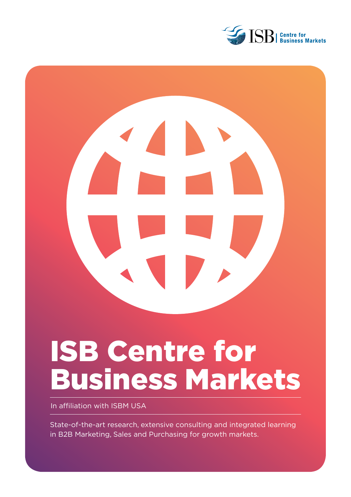



# ISB Centre for Business Markets

In affiliation with ISBM USA

State-of-the-art research, extensive consulting and integrated learning in B2B Marketing, Sales and Purchasing for growth markets.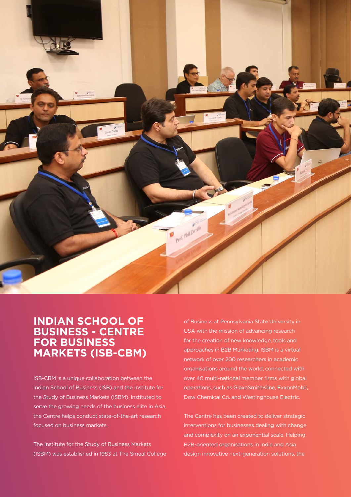

## **INDIAN SCHOOL OF BUSINESS - CENTRE FOR BUSINESS MARKETS (ISB-CBM)**

ISB-CBM is a unique collaboration between the Indian School of Business (ISB) and the Institute for the Study of Business Markets (ISBM). Instituted to serve the growing needs of the business elite in Asia, the Centre helps conduct state-of-the-art research focused on business markets.

The Institute for the Study of Business Markets (ISBM) was established in 1983 at The Smeal College of Business at Pennsylvania State University in USA with the mission of advancing research for the creation of new knowledge, tools and approaches in B2B Marketing. ISBM is a virtual network of over 200 researchers in academic organisations around the world, connected with over 40 multi-national member firms with global operations, such as GlaxoSmithKline, ExxonMobil, Dow Chemical Co. and Westinghouse Electric.

The Centre has been created to deliver strategic interventions for businesses dealing with change and complexity on an exponential scale. Helping B2B-oriented organisations in India and Asia design innovative next-generation solutions, the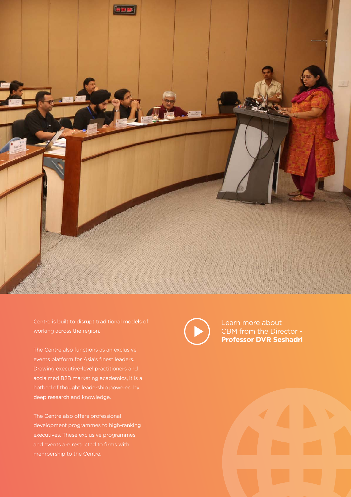

Centre is built to disrupt traditional models of working across the region.

The Centre also functions as an exclusive events platform for Asia's finest leaders. Drawing executive-level practitioners and acclaimed B2B marketing academics, it is a hotbed of thought leadership powered by deep research and knowledge.

The Centre also offers professional development programmes to high-ranking executives. These exclusive programmes and events are restricted to firms with membership to the Centre.

Learn more about [CBM from the Director -](https://www.youtube.com/watch?v=TvCAE4cmJO4)  **Professor DVR Seshadri**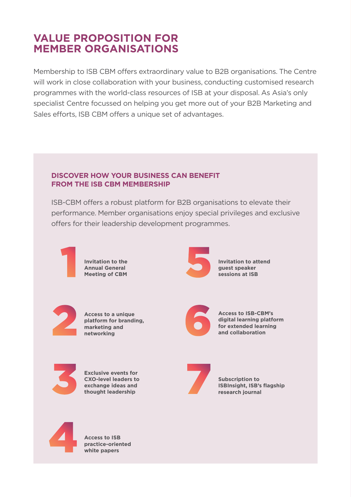# **VALUE PROPOSITION FOR MEMBER ORGANISATIONS**

Membership to ISB CBM offers extraordinary value to B2B organisations. The Centre will work in close collaboration with your business, conducting customised research programmes with the world-class resources of ISB at your disposal. As Asia's only specialist Centre focussed on helping you get more out of your B2B Marketing and Sales efforts, ISB CBM offers a unique set of advantages.

## **DISCOVER HOW YOUR BUSINESS CAN BENEFIT FROM THE ISB CBM MEMBERSHIP**

ISB-CBM offers a robust platform for B2B organisations to elevate their performance. Member organisations enjoy special privileges and exclusive offers for their leadership development programmes.



**Invitation to the Annual General Meeting of CBM**



**Invitation to attend guest speaker sessions at ISB**



**Access to a unique platform for branding, marketing and networking** Access to a unique<br>platform for branding,<br>marketing and<br>networking



**Access to ISB-CBM's digital learning platform for extended learning and collaboration**



**Exclusive events for CXO-level leaders to exchange ideas and thought leadership** Exclusive events for<br>CXO-level leaders to<br>exchange ideas and<br>thought leadership



**Subscription to ISBInsight, ISB's flagship research journal**



**Access to ISB practice-oriented white papers**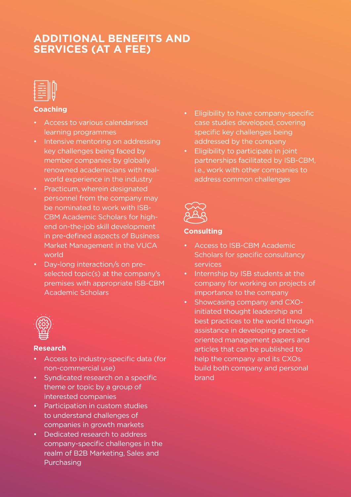# **ADDITIONAL BENEFITS AND SERVICES (AT A FEE)**

| -- |  |
|----|--|
|    |  |

## **Coaching**

- Access to various calendarised learning programmes
- Intensive mentoring on addressing key challenges being faced by member companies by globally renowned academicians with realworld experience in the industry
- Practicum, wherein designated personnel from the company may be nominated to work with ISB-CBM Academic Scholars for highend on-the-job skill development in pre-defined aspects of Business Market Management in the VUCA world
- Day-long interaction/s on preselected topic(s) at the company's premises with appropriate ISB-CBM Academic Scholars



### **Research**

- Access to industry-specific data (for non-commercial use)
- Syndicated research on a specific theme or topic by a group of interested companies
- Participation in custom studies to understand challenges of companies in growth markets
- Dedicated research to address company-specific challenges in the realm of B2B Marketing, Sales and Purchasing
- Eligibility to have company-specific case studies developed, covering specific key challenges being addressed by the company
- Eligibility to participate in joint partnerships facilitated by ISB-CBM, i.e., work with other companies to address common challenges



## **Consulting**

- Access to ISB-CBM Academic Scholars for specific consultancy services
- Internship by ISB students at the company for working on projects of importance to the company
- Showcasing company and CXOinitiated thought leadership and best practices to the world through assistance in developing practiceoriented management papers and articles that can be published to help the company and its CXOs build both company and personal brand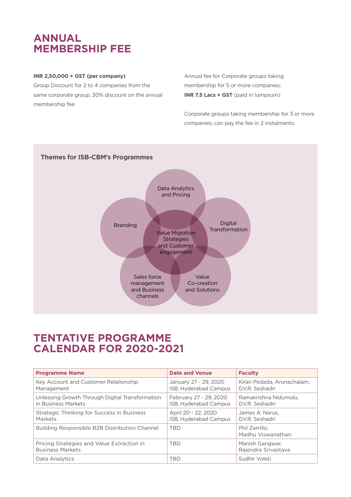# **ANNUAL MEMBERSHIP FEE**

#### **INR 2,50,000 + GST (per company)**

Group Discount for 2 to 4 companies from the same corporate group, 30% discount on the annual membership fee

Annual fee for Corporate groups taking membership for 5 or more companies: **INR 7.5 Lacs + GST** (paid in lumpsum)

Corporate groups taking membership for 3 or more companies, can pay the fee in 2 instalments.



## **TENTATIVE PROGRAMME CALENDAR FOR 2020-2021**

| <b>Programme Name</b>                                                  | <b>Date and Venue</b>                           | <b>Faculty</b>                                |
|------------------------------------------------------------------------|-------------------------------------------------|-----------------------------------------------|
| Key Account and Customer Relationship<br>Management                    | January 27 - 29, 2020<br>ISB, Hyderabad Campus  | Kiran Pedada, Arunachalam,<br>D.V.R. Seshadri |
| Unleasing Growth Through Digital Transformation<br>in Business Markets | February 27 - 29, 2020<br>ISB, Hyderabad Campus | Ramakrishna Nidumolu.<br>D.V.R. Seshadri      |
| Strategic Thinking for Success in Business<br>Markets                  | April 20 - 22, 2020<br>ISB, Hyderabad Campus    | James A. Narus.<br>D.V.R. Seshadri            |
| Building Responsible B2B Distribution Channel                          | <b>TBD</b>                                      | Phil Zerrillo.<br>Madhu Viswanathan           |
| Pricing Strategies and Value Extraction in<br><b>Business Markets</b>  | <b>TBD</b>                                      | Manish Gangwar,<br>Rajendra Srivastava        |
| Data Analytics                                                         | TBD                                             | Sudhir Voleti                                 |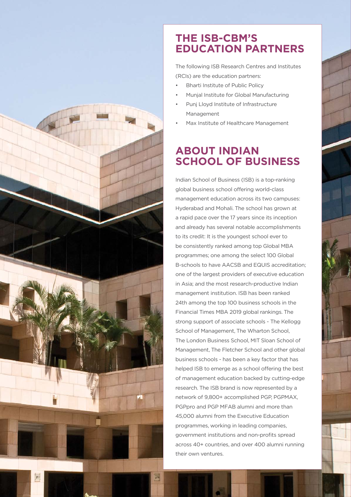

## **THE ISB-CBM'S EDUCATION PARTNERS**

The following ISB Research Centres and Institutes (RCIs) are the education partners:

- Bharti Institute of Public Policy
- Munjal Institute for Global Manufacturing
- Punj Lloyd Institute of Infrastructure Management
- Max Institute of Healthcare Management

# **ABOUT INDIAN SCHOOL OF BUSINESS**

Indian School of Business (ISB) is a top-ranking global business school offering world-class management education across its two campuses: Hyderabad and Mohali. The school has grown at a rapid pace over the 17 years since its inception and already has several notable accomplishments to its credit: It is the youngest school ever to be consistently ranked among top Global MBA programmes; one among the select 100 Global B-schools to have AACSB and EQUIS accreditation; one of the largest providers of executive education in Asia; and the most research-productive Indian management institution. ISB has been ranked 24th among the top 100 business schools in the Financial Times MBA 2019 global rankings. The strong support of associate schools - The Kellogg School of Management, The Wharton School, The London Business School, MIT Sloan School of Management, The Fletcher School and other global business schools - has been a key factor that has helped ISB to emerge as a school offering the best of management education backed by cutting-edge research. The ISB brand is now represented by a network of 9,800+ accomplished PGP, PGPMAX, PGPpro and PGP MFAB alumni and more than 45,000 alumni from the Executive Education programmes, working in leading companies, government institutions and non-profits spread across 40+ countries, and over 400 alumni running their own ventures.